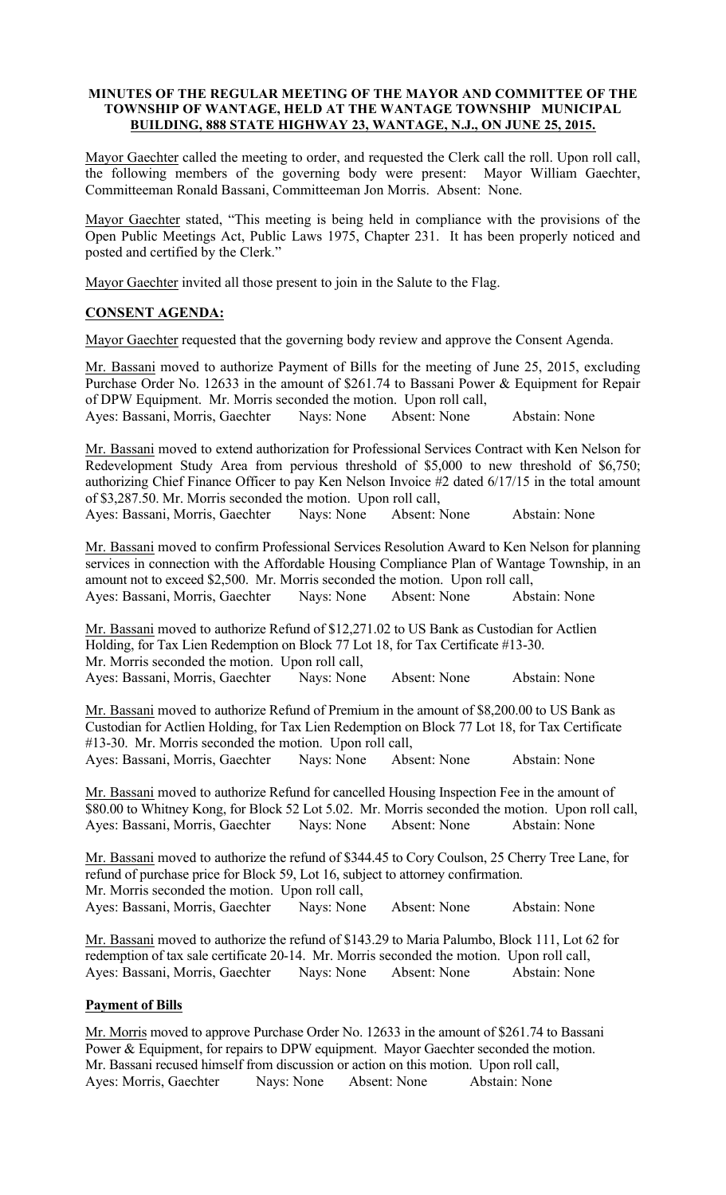### MINUTES OF THE REGULAR MEETING OF THE MAYOR AND COMMITTEE OF THE TOWNSHIP OF WANTAGE, HELD AT THE WANTAGE TOWNSHIP MUNICIPAL BUILDING, 888 STATE HIGHWAY 23, WANTAGE, N.J., ON JUNE 25, 2015.

Mayor Gaechter called the meeting to order, and requested the Clerk call the roll. Upon roll call, the following members of the governing body were present: Mayor William Gaechter, Committeeman Ronald Bassani, Committeeman Jon Morris. Absent: None.

Mayor Gaechter stated, "This meeting is being held in compliance with the provisions of the Open Public Meetings Act, Public Laws 1975, Chapter 231. It has been properly noticed and posted and certified by the Clerk."

Mayor Gaechter invited all those present to join in the Salute to the Flag.

## CONSENT AGENDA:

Mayor Gaechter requested that the governing body review and approve the Consent Agenda.

Mr. Bassani moved to authorize Payment of Bills for the meeting of June 25, 2015, excluding Purchase Order No. 12633 in the amount of \$261.74 to Bassani Power & Equipment for Repair of DPW Equipment. Mr. Morris seconded the motion. Upon roll call,<br>Ayes: Bassani, Morris, Gaechter Nays: None Absent: None Ayes: Bassani, Morris, Gaechter Nays: None Absent: None Abstain: None

Mr. Bassani moved to extend authorization for Professional Services Contract with Ken Nelson for Redevelopment Study Area from pervious threshold of \$5,000 to new threshold of \$6,750; authorizing Chief Finance Officer to pay Ken Nelson Invoice #2 dated 6/17/15 in the total amount of \$3,287.50. Mr. Morris seconded the motion. Upon roll call,

Ayes: Bassani, Morris, Gaechter Nays: None Absent: None Abstain: None

Mr. Bassani moved to confirm Professional Services Resolution Award to Ken Nelson for planning services in connection with the Affordable Housing Compliance Plan of Wantage Township, in an amount not to exceed \$2,500. Mr. Morris seconded the motion. Upon roll call, Ayes: Bassani, Morris, Gaechter Nays: None Absent: None Abstain: None

Mr. Bassani moved to authorize Refund of \$12,271.02 to US Bank as Custodian for Actlien Holding, for Tax Lien Redemption on Block 77 Lot 18, for Tax Certificate #13-30. Mr. Morris seconded the motion. Upon roll call, Ayes: Bassani, Morris, Gaechter Nays: None Absent: None Abstain: None

Mr. Bassani moved to authorize Refund of Premium in the amount of \$8,200.00 to US Bank as Custodian for Actlien Holding, for Tax Lien Redemption on Block 77 Lot 18, for Tax Certificate #13-30. Mr. Morris seconded the motion. Upon roll call, Ayes: Bassani, Morris, Gaechter Nays: None Absent: None Abstain: None

Mr. Bassani moved to authorize Refund for cancelled Housing Inspection Fee in the amount of \$80.00 to Whitney Kong, for Block 52 Lot 5.02. Mr. Morris seconded the motion. Upon roll call, Ayes: Bassani, Morris, Gaechter Nays: None Absent: None Abstain: None

Mr. Bassani moved to authorize the refund of \$344.45 to Cory Coulson, 25 Cherry Tree Lane, for refund of purchase price for Block 59, Lot 16, subject to attorney confirmation. Mr. Morris seconded the motion. Upon roll call, Ayes: Bassani, Morris, Gaechter Nays: None Absent: None Abstain: None

Mr. Bassani moved to authorize the refund of \$143.29 to Maria Palumbo, Block 111, Lot 62 for redemption of tax sale certificate 20-14. Mr. Morris seconded the motion. Upon roll call, Ayes: Bassani, Morris, Gaechter Nays: None Absent: None Abstain: None

## Payment of Bills

Mr. Morris moved to approve Purchase Order No. 12633 in the amount of \$261.74 to Bassani Power & Equipment, for repairs to DPW equipment. Mayor Gaechter seconded the motion. Mr. Bassani recused himself from discussion or action on this motion. Upon roll call, Ayes: Morris, Gaechter Nays: None Absent: None Abstain: None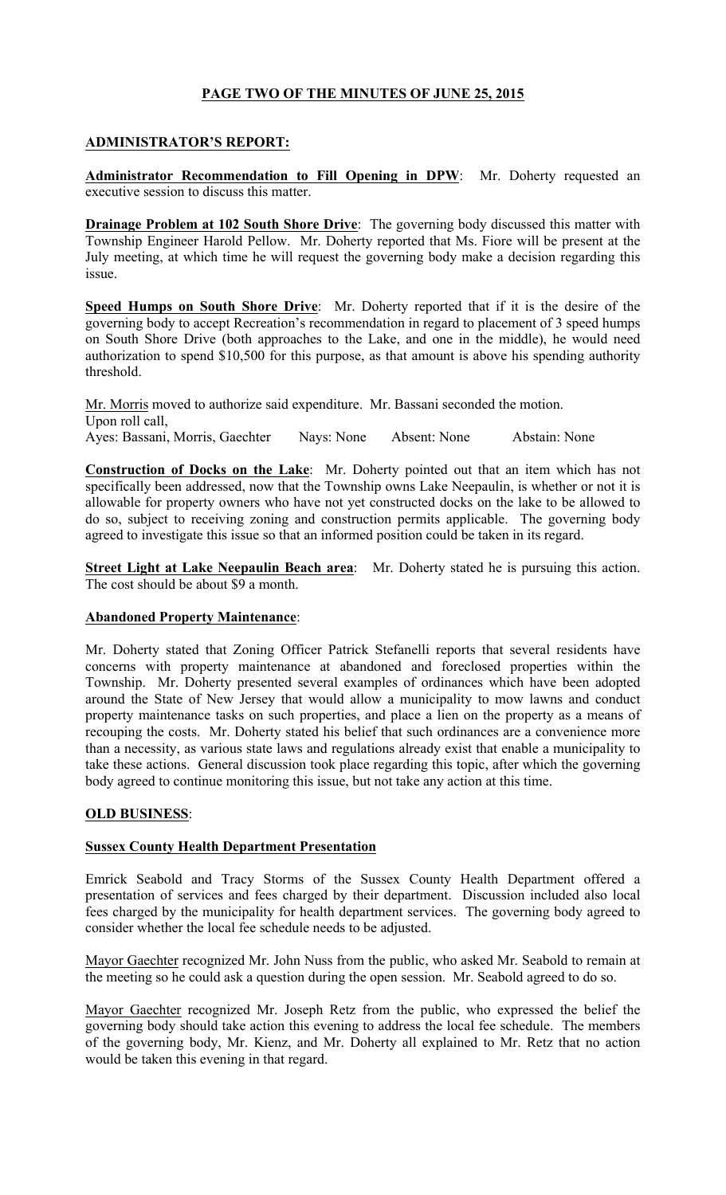# PAGE TWO OF THE MINUTES OF JUNE 25, 2015

## ADMINISTRATOR'S REPORT:

Administrator Recommendation to Fill Opening in DPW: Mr. Doherty requested an executive session to discuss this matter.

Drainage Problem at 102 South Shore Drive: The governing body discussed this matter with Township Engineer Harold Pellow. Mr. Doherty reported that Ms. Fiore will be present at the July meeting, at which time he will request the governing body make a decision regarding this issue.

Speed Humps on South Shore Drive: Mr. Doherty reported that if it is the desire of the governing body to accept Recreation's recommendation in regard to placement of 3 speed humps on South Shore Drive (both approaches to the Lake, and one in the middle), he would need authorization to spend \$10,500 for this purpose, as that amount is above his spending authority threshold.

Mr. Morris moved to authorize said expenditure. Mr. Bassani seconded the motion. Upon roll call, Ayes: Bassani, Morris, Gaechter Nays: None Absent: None Abstain: None

Construction of Docks on the Lake: Mr. Doherty pointed out that an item which has not specifically been addressed, now that the Township owns Lake Neepaulin, is whether or not it is allowable for property owners who have not yet constructed docks on the lake to be allowed to do so, subject to receiving zoning and construction permits applicable. The governing body agreed to investigate this issue so that an informed position could be taken in its regard.

Street Light at Lake Neepaulin Beach area: Mr. Doherty stated he is pursuing this action. The cost should be about \$9 a month.

## Abandoned Property Maintenance:

Mr. Doherty stated that Zoning Officer Patrick Stefanelli reports that several residents have concerns with property maintenance at abandoned and foreclosed properties within the Township. Mr. Doherty presented several examples of ordinances which have been adopted around the State of New Jersey that would allow a municipality to mow lawns and conduct property maintenance tasks on such properties, and place a lien on the property as a means of recouping the costs. Mr. Doherty stated his belief that such ordinances are a convenience more than a necessity, as various state laws and regulations already exist that enable a municipality to take these actions. General discussion took place regarding this topic, after which the governing body agreed to continue monitoring this issue, but not take any action at this time.

## OLD BUSINESS:

## Sussex County Health Department Presentation

Emrick Seabold and Tracy Storms of the Sussex County Health Department offered a presentation of services and fees charged by their department. Discussion included also local fees charged by the municipality for health department services. The governing body agreed to consider whether the local fee schedule needs to be adjusted.

Mayor Gaechter recognized Mr. John Nuss from the public, who asked Mr. Seabold to remain at the meeting so he could ask a question during the open session. Mr. Seabold agreed to do so.

Mayor Gaechter recognized Mr. Joseph Retz from the public, who expressed the belief the governing body should take action this evening to address the local fee schedule. The members of the governing body, Mr. Kienz, and Mr. Doherty all explained to Mr. Retz that no action would be taken this evening in that regard.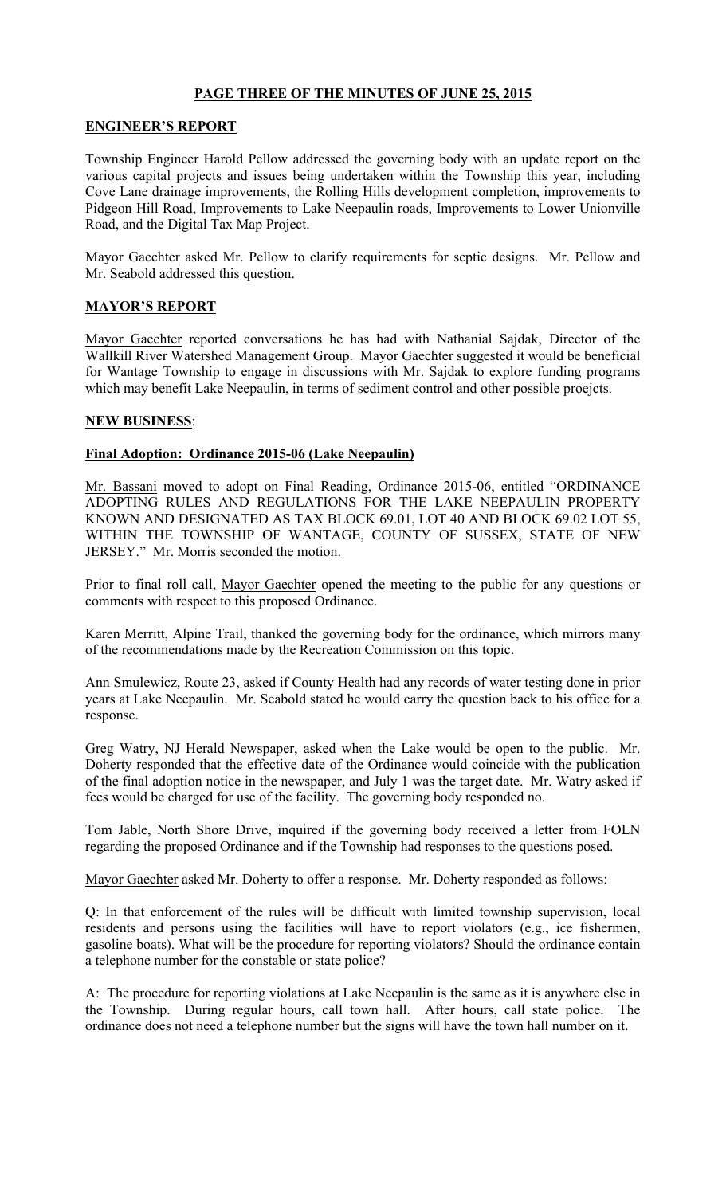# PAGE THREE OF THE MINUTES OF JUNE 25, 2015

### ENGINEER'S REPORT

Township Engineer Harold Pellow addressed the governing body with an update report on the various capital projects and issues being undertaken within the Township this year, including Cove Lane drainage improvements, the Rolling Hills development completion, improvements to Pidgeon Hill Road, Improvements to Lake Neepaulin roads, Improvements to Lower Unionville Road, and the Digital Tax Map Project.

Mayor Gaechter asked Mr. Pellow to clarify requirements for septic designs. Mr. Pellow and Mr. Seabold addressed this question.

## MAYOR'S REPORT

Mayor Gaechter reported conversations he has had with Nathanial Sajdak, Director of the Wallkill River Watershed Management Group. Mayor Gaechter suggested it would be beneficial for Wantage Township to engage in discussions with Mr. Sajdak to explore funding programs which may benefit Lake Neepaulin, in terms of sediment control and other possible proejcts.

### NEW BUSINESS:

### Final Adoption: Ordinance 2015-06 (Lake Neepaulin)

Mr. Bassani moved to adopt on Final Reading, Ordinance 2015-06, entitled "ORDINANCE ADOPTING RULES AND REGULATIONS FOR THE LAKE NEEPAULIN PROPERTY KNOWN AND DESIGNATED AS TAX BLOCK 69.01, LOT 40 AND BLOCK 69.02 LOT 55, WITHIN THE TOWNSHIP OF WANTAGE, COUNTY OF SUSSEX, STATE OF NEW JERSEY." Mr. Morris seconded the motion.

Prior to final roll call, Mayor Gaechter opened the meeting to the public for any questions or comments with respect to this proposed Ordinance.

Karen Merritt, Alpine Trail, thanked the governing body for the ordinance, which mirrors many of the recommendations made by the Recreation Commission on this topic.

Ann Smulewicz, Route 23, asked if County Health had any records of water testing done in prior years at Lake Neepaulin. Mr. Seabold stated he would carry the question back to his office for a response.

Greg Watry, NJ Herald Newspaper, asked when the Lake would be open to the public. Mr. Doherty responded that the effective date of the Ordinance would coincide with the publication of the final adoption notice in the newspaper, and July 1 was the target date. Mr. Watry asked if fees would be charged for use of the facility. The governing body responded no.

Tom Jable, North Shore Drive, inquired if the governing body received a letter from FOLN regarding the proposed Ordinance and if the Township had responses to the questions posed.

Mayor Gaechter asked Mr. Doherty to offer a response. Mr. Doherty responded as follows:

Q: In that enforcement of the rules will be difficult with limited township supervision, local residents and persons using the facilities will have to report violators (e.g., ice fishermen, gasoline boats). What will be the procedure for reporting violators? Should the ordinance contain a telephone number for the constable or state police?

A: The procedure for reporting violations at Lake Neepaulin is the same as it is anywhere else in the Township. During regular hours, call town hall. After hours, call state police. The ordinance does not need a telephone number but the signs will have the town hall number on it.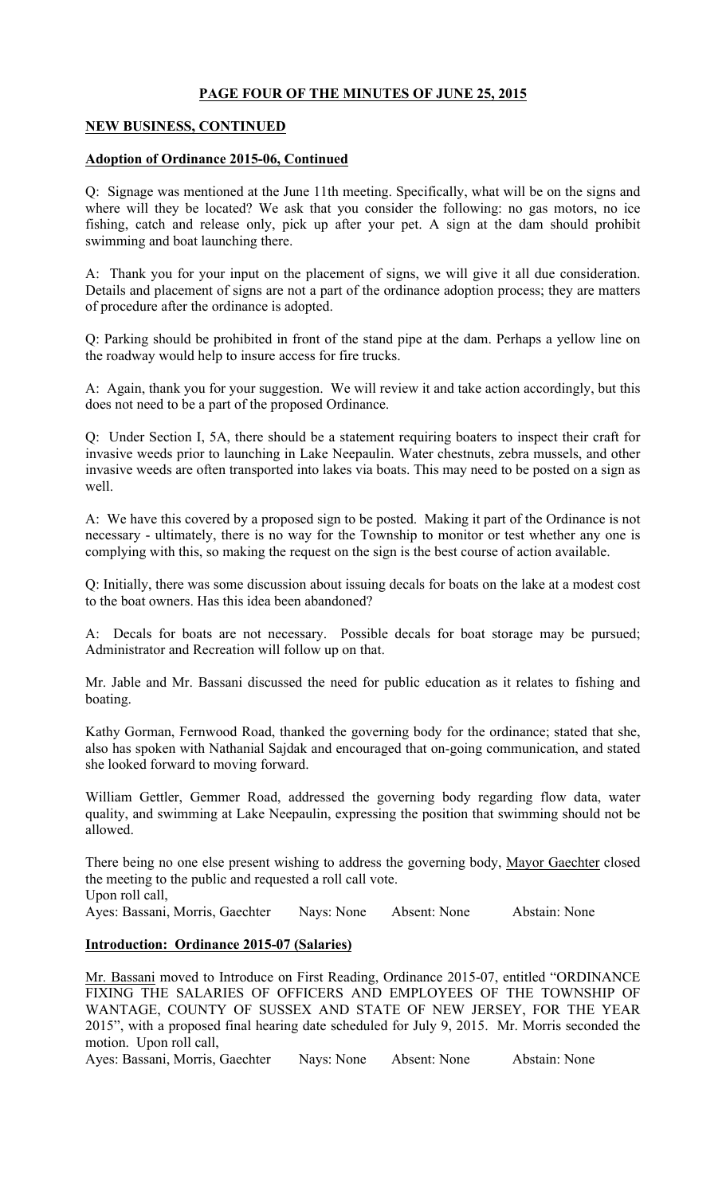# PAGE FOUR OF THE MINUTES OF JUNE 25, 2015

## NEW BUSINESS, CONTINUED

## Adoption of Ordinance 2015-06, Continued

Q: Signage was mentioned at the June 11th meeting. Specifically, what will be on the signs and where will they be located? We ask that you consider the following: no gas motors, no ice fishing, catch and release only, pick up after your pet. A sign at the dam should prohibit swimming and boat launching there.

A: Thank you for your input on the placement of signs, we will give it all due consideration. Details and placement of signs are not a part of the ordinance adoption process; they are matters of procedure after the ordinance is adopted.

Q: Parking should be prohibited in front of the stand pipe at the dam. Perhaps a yellow line on the roadway would help to insure access for fire trucks.

A: Again, thank you for your suggestion. We will review it and take action accordingly, but this does not need to be a part of the proposed Ordinance.

Q: Under Section I, 5A, there should be a statement requiring boaters to inspect their craft for invasive weeds prior to launching in Lake Neepaulin. Water chestnuts, zebra mussels, and other invasive weeds are often transported into lakes via boats. This may need to be posted on a sign as well.

A: We have this covered by a proposed sign to be posted. Making it part of the Ordinance is not necessary - ultimately, there is no way for the Township to monitor or test whether any one is complying with this, so making the request on the sign is the best course of action available.

Q: Initially, there was some discussion about issuing decals for boats on the lake at a modest cost to the boat owners. Has this idea been abandoned?

A: Decals for boats are not necessary. Possible decals for boat storage may be pursued; Administrator and Recreation will follow up on that.

Mr. Jable and Mr. Bassani discussed the need for public education as it relates to fishing and boating.

Kathy Gorman, Fernwood Road, thanked the governing body for the ordinance; stated that she, also has spoken with Nathanial Sajdak and encouraged that on-going communication, and stated she looked forward to moving forward.

William Gettler, Gemmer Road, addressed the governing body regarding flow data, water quality, and swimming at Lake Neepaulin, expressing the position that swimming should not be allowed.

There being no one else present wishing to address the governing body, Mayor Gaechter closed the meeting to the public and requested a roll call vote. Upon roll call, Ayes: Bassani, Morris, Gaechter Nays: None Absent: None Abstain: None

## Introduction: Ordinance 2015-07 (Salaries)

Mr. Bassani moved to Introduce on First Reading, Ordinance 2015-07, entitled "ORDINANCE FIXING THE SALARIES OF OFFICERS AND EMPLOYEES OF THE TOWNSHIP OF WANTAGE, COUNTY OF SUSSEX AND STATE OF NEW JERSEY, FOR THE YEAR 2015", with a proposed final hearing date scheduled for July 9, 2015. Mr. Morris seconded the motion. Upon roll call,

Ayes: Bassani, Morris, Gaechter Nays: None Absent: None Abstain: None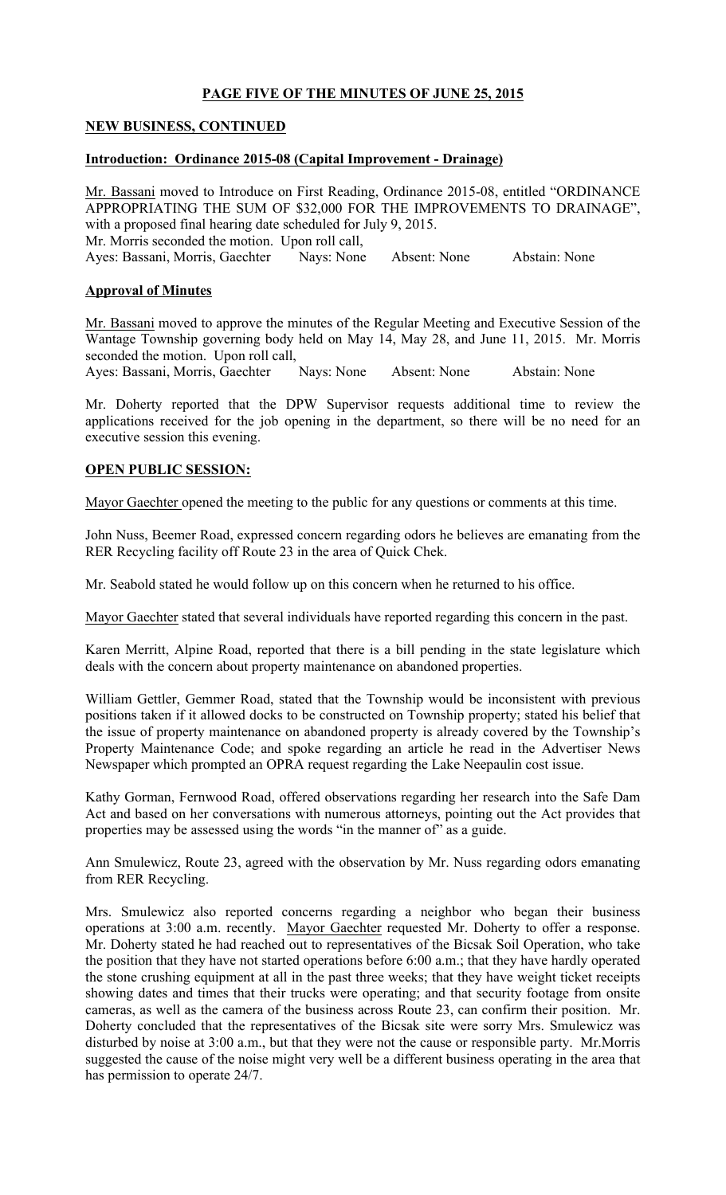# PAGE FIVE OF THE MINUTES OF JUNE 25, 2015

## NEW BUSINESS, CONTINUED

### Introduction: Ordinance 2015-08 (Capital Improvement - Drainage)

Mr. Bassani moved to Introduce on First Reading, Ordinance 2015-08, entitled "ORDINANCE APPROPRIATING THE SUM OF \$32,000 FOR THE IMPROVEMENTS TO DRAINAGE", with a proposed final hearing date scheduled for July 9, 2015. Mr. Morris seconded the motion. Upon roll call, Ayes: Bassani, Morris, Gaechter Nays: None Absent: None Abstain: None

### Approval of Minutes

Mr. Bassani moved to approve the minutes of the Regular Meeting and Executive Session of the Wantage Township governing body held on May 14, May 28, and June 11, 2015. Mr. Morris seconded the motion. Upon roll call,<br>Ayes: Bassani, Morris, Gaechter Nays: None

Ayes: Bassani, Morris, Gaechter Nays: None Absent: None Abstain: None

Mr. Doherty reported that the DPW Supervisor requests additional time to review the applications received for the job opening in the department, so there will be no need for an executive session this evening.

### OPEN PUBLIC SESSION:

Mayor Gaechter opened the meeting to the public for any questions or comments at this time.

John Nuss, Beemer Road, expressed concern regarding odors he believes are emanating from the RER Recycling facility off Route 23 in the area of Quick Chek.

Mr. Seabold stated he would follow up on this concern when he returned to his office.

Mayor Gaechter stated that several individuals have reported regarding this concern in the past.

Karen Merritt, Alpine Road, reported that there is a bill pending in the state legislature which deals with the concern about property maintenance on abandoned properties.

William Gettler, Gemmer Road, stated that the Township would be inconsistent with previous positions taken if it allowed docks to be constructed on Township property; stated his belief that the issue of property maintenance on abandoned property is already covered by the Township's Property Maintenance Code; and spoke regarding an article he read in the Advertiser News Newspaper which prompted an OPRA request regarding the Lake Neepaulin cost issue.

Kathy Gorman, Fernwood Road, offered observations regarding her research into the Safe Dam Act and based on her conversations with numerous attorneys, pointing out the Act provides that properties may be assessed using the words "in the manner of" as a guide.

Ann Smulewicz, Route 23, agreed with the observation by Mr. Nuss regarding odors emanating from RER Recycling.

Mrs. Smulewicz also reported concerns regarding a neighbor who began their business operations at 3:00 a.m. recently. Mayor Gaechter requested Mr. Doherty to offer a response. Mr. Doherty stated he had reached out to representatives of the Bicsak Soil Operation, who take the position that they have not started operations before 6:00 a.m.; that they have hardly operated the stone crushing equipment at all in the past three weeks; that they have weight ticket receipts showing dates and times that their trucks were operating; and that security footage from onsite cameras, as well as the camera of the business across Route 23, can confirm their position. Mr. Doherty concluded that the representatives of the Bicsak site were sorry Mrs. Smulewicz was disturbed by noise at 3:00 a.m., but that they were not the cause or responsible party. Mr.Morris suggested the cause of the noise might very well be a different business operating in the area that has permission to operate 24/7.